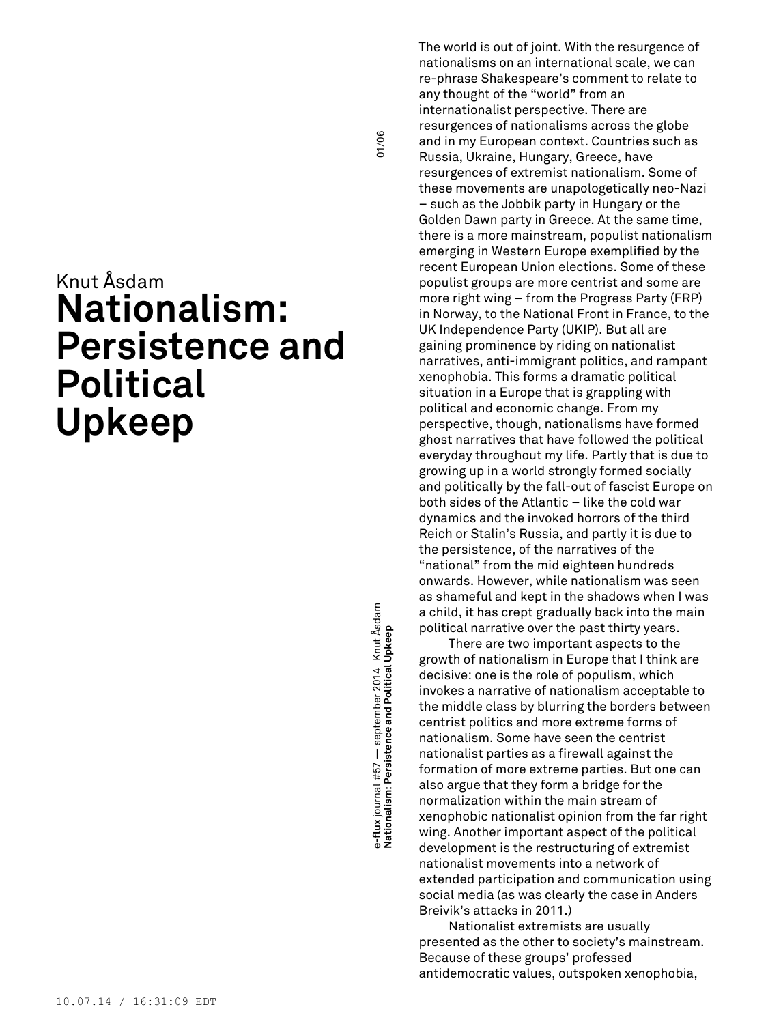## Knut Åsdam **Nationalism: Persistence and Political Upkeep**

**e-Iux** Journal #37 — september 2014 — Mill Asadam (101/06)<br>Nationalism: Persistence and Political Upkeep e-flux journal #57 — september 2014 <u>Knut Åsdam</u><br>Nationalism: Persistence and Political Upkeep **e-flux** journal #57 — september 2014 Knut Åsdam

01/06

The world is out of joint. With the resurgence of nationalisms on an international scale, we can re-phrase Shakespeare's comment to relate to any thought of the "world" from an internationalist perspective. There are resurgences of nationalisms across the globe and in my European context. Countries such as Russia, Ukraine, Hungary, Greece, have resurgences of extremist nationalism. Some of these movements are unapologetically neo-Nazi – such as the Jobbik party in Hungary or the Golden Dawn party in Greece. At the same time, there is a more mainstream, populist nationalism emerging in Western Europe exemplified by the recent European Union elections. Some of these populist groups are more centrist and some are more right wing – from the Progress Party (FRP) in Norway, to the National Front in France, to the UK Independence Party (UKIP). But all are gaining prominence by riding on nationalist narratives, anti-immigrant politics, and rampant xenophobia. This forms a dramatic political situation in a Europe that is grappling with political and economic change. From my perspective, though, nationalisms have formed ghost narratives that have followed the political everyday throughout my life. Partly that is due to growing up in a world strongly formed socially and politically by the fall-out of fascist Europe on both sides of the Atlantic – like the cold war dynamics and the invoked horrors of the third Reich or Stalin's Russia, and partly it is due to the persistence, of the narratives of the "national" from the mid eighteen hundreds onwards. However, while nationalism was seen as shameful and kept in the shadows when I was a child, it has crept gradually back into the main political narrative over the past thirty years.

There are two important aspects to the growth of nationalism in Europe that I think are decisive: one is the role of populism, which invokes a narrative of nationalism acceptable to the middle class by blurring the borders between centrist politics and more extreme forms of nationalism. Some have seen the centrist nationalist parties as a firewall against the formation of more extreme parties. But one can also argue that they form a bridge for the normalization within the main stream of xenophobic nationalist opinion from the far right wing. Another important aspect of the political development is the restructuring of extremist nationalist movements into a network of extended participation and communication using social media (as was clearly the case in Anders Breivik's attacks in 2011.)

Nationalist extremists are usually presented as the other to society's mainstream. Because of these groups' professed antidemocratic values, outspoken xenophobia,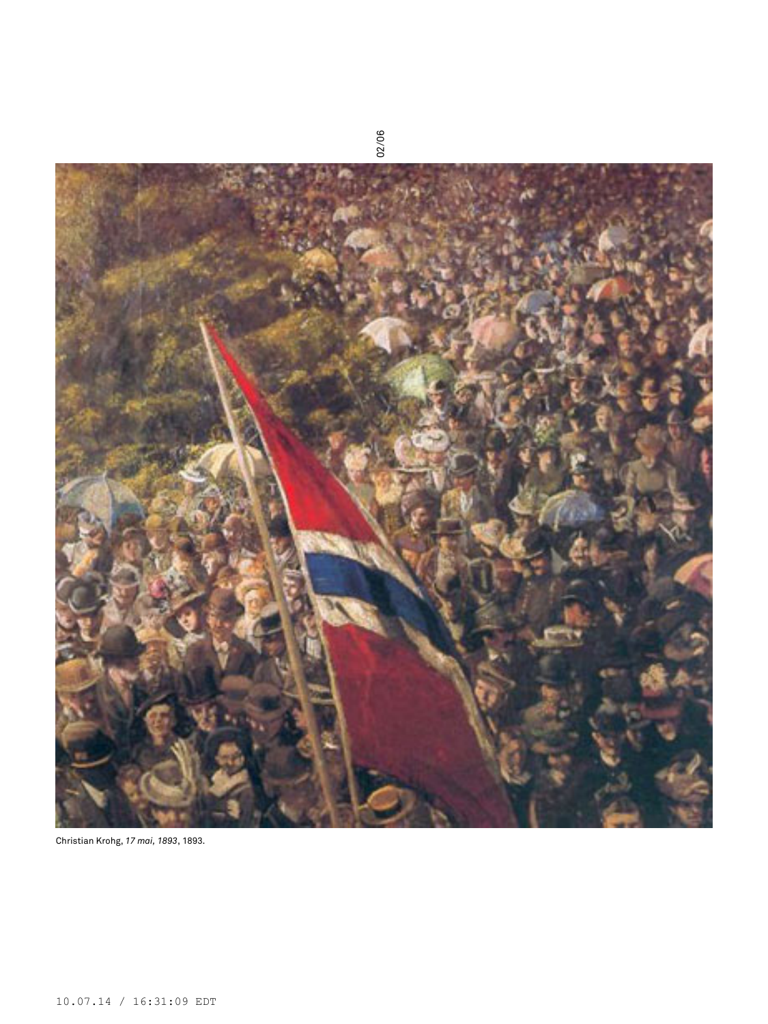

Christian Krohg, *17 mai, 1893*, 1893.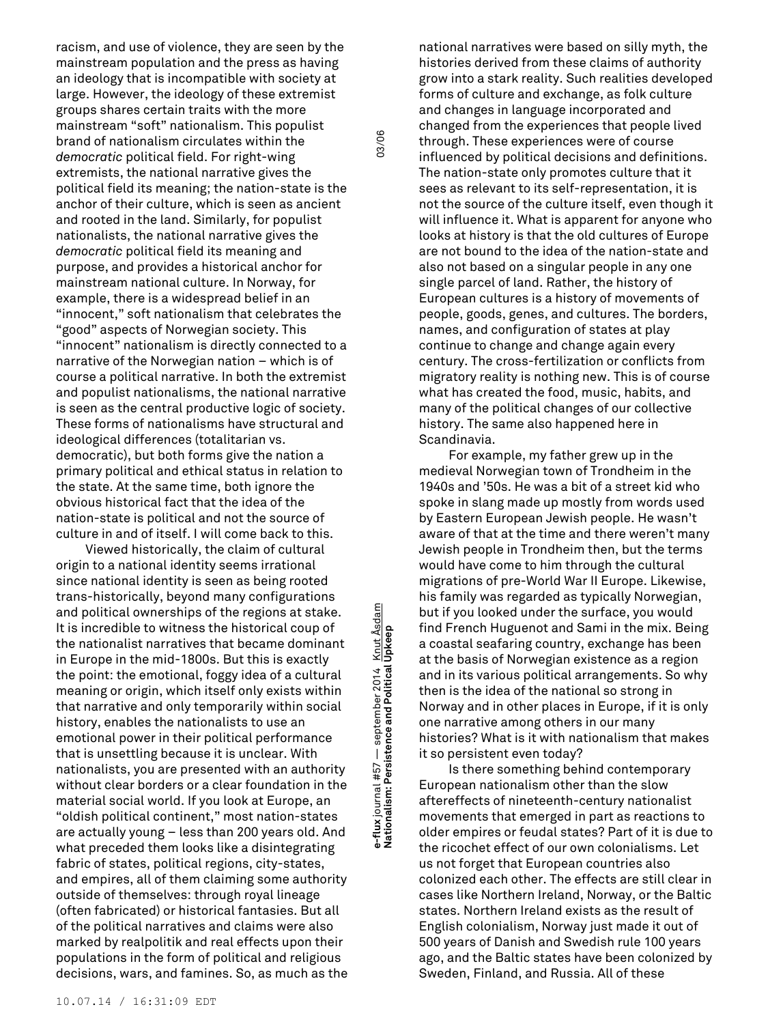racism, and use of violence, they are seen by the mainstream population and the press as having an ideology that is incompatible with society at large. However, the ideology of these extremist groups shares certain traits with the more mainstream "soft" nationalism. This populist brand of nationalism circulates within the *democratic* political field. For right-wing extremists, the national narrative gives the political field its meaning; the nation-state is the anchor of their culture, which is seen as ancient and rooted in the land. Similarly, for populist nationalists, the national narrative gives the *democratic* political field its meaning and purpose, and provides a historical anchor for mainstream national culture. In Norway, for example, there is a widespread belief in an "innocent," soft nationalism that celebrates the "good" aspects of Norwegian society. This "innocent" nationalism is directly connected to a narrative of the Norwegian nation – which is of course a political narrative. In both the extremist and populist nationalisms, the national narrative is seen as the central productive logic of society. These forms of nationalisms have structural and ideological differences (totalitarian vs. democratic), but both forms give the nation a primary political and ethical status in relation to the state. At the same time, both ignore the obvious historical fact that the idea of the nation-state is political and not the source of culture in and of itself. I will come back to this.

Viewed historically, the claim of cultural origin to a national identity seems irrational since national identity is seen as being rooted trans-historically, beyond many configurations and political ownerships of the regions at stake. It is incredible to witness the historical coup of the nationalist narratives that became dominant in Europe in the mid-1800s. But this is exactly the point: the emotional, foggy idea of a cultural meaning or origin, which itself only exists within that narrative and only temporarily within social history, enables the nationalists to use an emotional power in their political performance that is unsettling because it is unclear. With nationalists, you are presented with an authority without clear borders or a clear foundation in the material social world. If you look at Europe, an "oldish political continent," most nation-states are actually young – less than 200 years old. And what preceded them looks like a disintegrating fabric of states, political regions, city-states, and empires, all of them claiming some authority outside of themselves: through royal lineage (often fabricated) or historical fantasies. But all of the political narratives and claims were also marked by realpolitik and real effects upon their populations in the form of political and religious decisions, wars, and famines. So, as much as the

**e-Iux** Journal #37 — september 2014 — Millt Asadam 03/06 **National Political Upkeep** 03/06 03/06 and **Political Upkeep** e-flux journal #57 — september 2014 <u>Knut Åsdam</u><br>Nationalism: Persistence and Political Upkeep **e-flux** journal #57 — september 2014 Knut Åsdam

03/06

national narratives were based on silly myth, the histories derived from these claims of authority grow into a stark reality. Such realities developed forms of culture and exchange, as folk culture and changes in language incorporated and changed from the experiences that people lived through. These experiences were of course influenced by political decisions and definitions. The nation-state only promotes culture that it sees as relevant to its self-representation, it is not the source of the culture itself, even though it will influence it. What is apparent for anyone who looks at history is that the old cultures of Europe are not bound to the idea of the nation-state and also not based on a singular people in any one single parcel of land. Rather, the history of European cultures is a history of movements of people, goods, genes, and cultures. The borders, names, and configuration of states at play continue to change and change again every century. The cross-fertilization or conflicts from migratory reality is nothing new. This is of course what has created the food, music, habits, and many of the political changes of our collective history. The same also happened here in Scandinavia.

For example, my father grew up in the medieval Norwegian town of Trondheim in the 1940s and '50s. He was a bit of a street kid who spoke in slang made up mostly from words used by Eastern European Jewish people. He wasn't aware of that at the time and there weren't many Jewish people in Trondheim then, but the terms would have come to him through the cultural migrations of pre-World War II Europe. Likewise, his family was regarded as typically Norwegian, but if you looked under the surface, you would find French Huguenot and Sami in the mix. Being a coastal seafaring country, exchange has been at the basis of Norwegian existence as a region and in its various political arrangements. So why then is the idea of the national so strong in Norway and in other places in Europe, if it is only one narrative among others in our many histories? What is it with nationalism that makes it so persistent even today?

Is there something behind contemporary European nationalism other than the slow aftereffects of nineteenth-century nationalist movements that emerged in part as reactions to older empires or feudal states? Part of it is due to the ricochet effect of our own colonialisms. Let us not forget that European countries also colonized each other. The effects are still clear in cases like Northern Ireland, Norway, or the Baltic states. Northern Ireland exists as the result of English colonialism, Norway just made it out of 500 years of Danish and Swedish rule 100 years ago, and the Baltic states have been colonized by Sweden, Finland, and Russia. All of these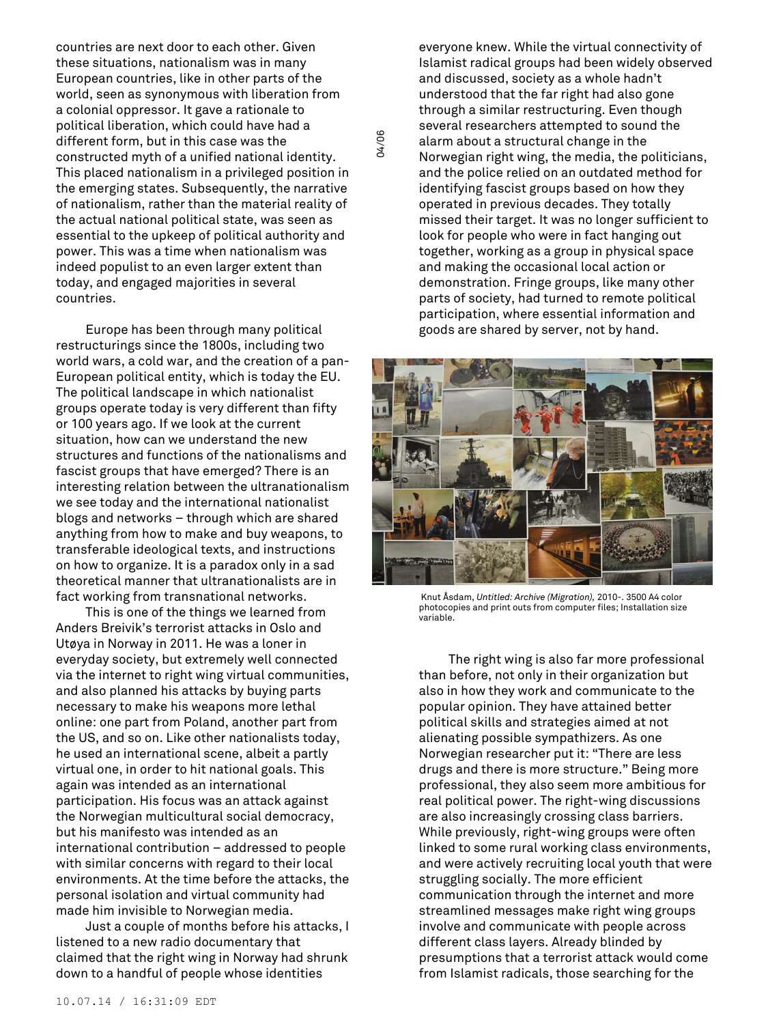countries are next door to each other. Given these situations, nationalism was in many European countries, like in other parts of the world, seen as synonymous with liberation from a colonial oppressor. It gave a rationale to political liberation, which could have had a different form, but in this case was the constructed myth of a unified national identity. This placed nationalism in a privileged position in the emerging states. Subsequently, the narrative of nationalism, rather than the material reality of the actual national political state, was seen as essential to the upkeep of political authority and power. This was a time when nationalism was indeed populist to an even larger extent than today, and engaged majorities in several countries.

04/06

Europe has been through many political restructurings since the 1800s, including two world wars, a cold war, and the creation of a pan-European political entity, which is today the EU. The political landscape in which nationalist groups operate today is very different than fifty or 100 years ago. If we look at the current situation, how can we understand the new structures and functions of the nationalisms and fascist groups that have emerged? There is an interesting relation between the ultranationalism we see today and the international nationalist blogs and networks – through which are shared anything from how to make and buy weapons, to transferable ideological texts, and instructions on how to organize. It is a paradox only in a sad theoretical manner that ultranationalists are in fact working from transnational networks.

This is one of the things we learned from Anders Breivik's terrorist attacks in Oslo and Utøya in Norway in 2011. He was a loner in everyday society, but extremely well connected via the internet to right wing virtual communities, and also planned his attacks by buying parts necessary to make his weapons more lethal online: one part from Poland, another part from the US, and so on. Like other nationalists today, he used an international scene, albeit a partly virtual one, in order to hit national goals. This again was intended as an international participation. His focus was an attack against the Norwegian multicultural social democracy, but his manifesto was intended as an international contribution – addressed to people with similar concerns with regard to their local environments. At the time before the attacks, the personal isolation and virtual community had made him invisible to Norwegian media.

Just a couple of months before his attacks, I listened to a new radio documentary that claimed that the right wing in Norway had shrunk down to a handful of people whose identities

everyone knew. While the virtual connectivity of Islamist radical groups had been widely observed and discussed, society as a whole hadn't understood that the far right had also gone through a similar restructuring. Even though several researchers attempted to sound the alarm about a structural change in the Norwegian right wing, the media, the politicians, and the police relied on an outdated method for identifying fascist groups based on how they operated in previous decades. They totally missed their target. It was no longer sufficient to look for people who were in fact hanging out together, working as a group in physical space and making the occasional local action or demonstration. Fringe groups, like many other parts of society, had turned to remote political participation, where essential information and goods are shared by server, not by hand.



Knut Åsdam, *Untitled: Archive (Migration),* 2010-. 3500 A4 color photocopies and print outs from computer files; Installation size variable.

The right wing is also far more professional than before, not only in their organization but also in how they work and communicate to the popular opinion. They have attained better political skills and strategies aimed at not alienating possible sympathizers. As one Norwegian researcher put it: "There are less drugs and there is more structure." Being more professional, they also seem more ambitious for real political power. The right-wing discussions are also increasingly crossing class barriers. While previously, right-wing groups were often linked to some rural working class environments, and were actively recruiting local youth that were struggling socially. The more efficient communication through the internet and more streamlined messages make right wing groups involve and communicate with people across different class layers. Already blinded by presumptions that a terrorist attack would come from Islamist radicals, those searching for the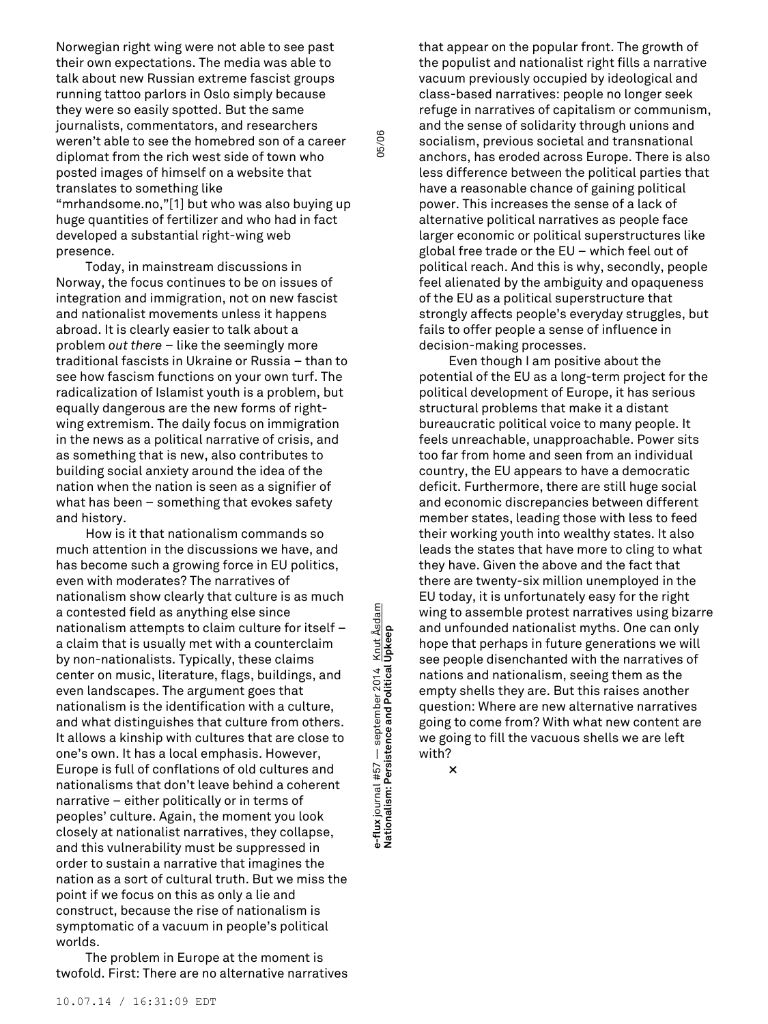Norwegian right wing were not able to see past their own expectations. The media was able to talk about new Russian extreme fascist groups running tattoo parlors in Oslo simply because they were so easily spotted. But the same journalists, commentators, and researchers weren't able to see the homebred son of a career diplomat from the rich west side of town who posted images of himself on a website that translates to something like "mrhandsome.no,"[1] but who was also buying up huge quantities of fertilizer and who had in fact developed a substantial right-wing web presence.

Today, in mainstream discussions in Norway, the focus continues to be on issues of integration and immigration, not on new fascist and nationalist movements unless it happens abroad. It is clearly easier to talk about a problem *out there* – like the seemingly more traditional fascists in Ukraine or Russia – than to see how fascism functions on your own turf. The radicalization of Islamist youth is a problem, but equally dangerous are the new forms of rightwing extremism. The daily focus on immigration in the news as a political narrative of crisis, and as something that is new, also contributes to building social anxiety around the idea of the nation when the nation is seen as a signifier of what has been – something that evokes safety and history.

How is it that nationalism commands so much attention in the discussions we have, and has become such a growing force in EU politics, even with moderates? The narratives of nationalism show clearly that culture is as much a contested field as anything else since nationalism attempts to claim culture for itself – a claim that is usually met with a counterclaim by non-nationalists. Typically, these claims center on music, literature, flags, buildings, and even landscapes. The argument goes that nationalism is the identification with a culture, and what distinguishes that culture from others. It allows a kinship with cultures that are close to one's own. It has a local emphasis. However, Europe is full of conflations of old cultures and nationalisms that don't leave behind a coherent narrative – either politically or in terms of peoples' culture. Again, the moment you look closely at nationalist narratives, they collapse, and this vulnerability must be suppressed in order to sustain a narrative that imagines the nation as a sort of cultural truth. But we miss the point if we focus on this as only a lie and construct, because the rise of nationalism is symptomatic of a vacuum in people's political worlds.

The problem in Europe at the moment is twofold. First: There are no alternative narratives

**e-Iux** Journal #37 — september 2014 — <u>Kilut Asgam</u><br>Nationalism: Persistence and Political Upkeep e-flux journal #57 — september 2014 <u>Knut Åsdam</u><br>Nationalism: Persistence and Political Upkeep **e-flux** journal #57 — september 2014 Knut Åsdam

05/06

that appear on the popular front. The growth of the populist and nationalist right fills a narrative vacuum previously occupied by ideological and class-based narratives: people no longer seek refuge in narratives of capitalism or communism, and the sense of solidarity through unions and socialism, previous societal and transnational anchors, has eroded across Europe. There is also less difference between the political parties that have a reasonable chance of gaining political power. This increases the sense of a lack of alternative political narratives as people face larger economic or political superstructures like global free trade or the EU – which feel out of political reach. And this is why, secondly, people feel alienated by the ambiguity and opaqueness of the EU as a political superstructure that strongly affects people's everyday struggles, but fails to offer people a sense of influence in decision-making processes.

Even though I am positive about the potential of the EU as a long-term project for the political development of Europe, it has serious structural problems that make it a distant bureaucratic political voice to many people. It feels unreachable, unapproachable. Power sits too far from home and seen from an individual country, the EU appears to have a democratic deficit. Furthermore, there are still huge social and economic discrepancies between different member states, leading those with less to feed their working youth into wealthy states. It also leads the states that have more to cling to what they have. Given the above and the fact that there are twenty-six million unemployed in the EU today, it is unfortunately easy for the right wing to assemble protest narratives using bizarre and unfounded nationalist myths. One can only hope that perhaps in future generations we will see people disenchanted with the narratives of nations and nationalism, seeing them as the empty shells they are. But this raises another question: Where are new alternative narratives going to come from? With what new content are we going to fill the vacuous shells we are left with?

**×**